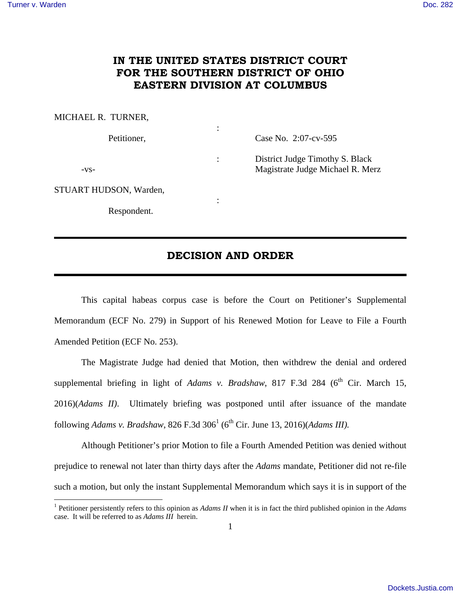## **IN THE UNITED STATES DISTRICT COURT FOR THE SOUTHERN DISTRICT OF OHIO EASTERN DIVISION AT COLUMBUS**

:

:

MICHAEL R. TURNER,

 $\overline{a}$ 

Petitioner. Case No. 2:07-cv-595

: District Judge Timothy S. Black -vs- Magistrate Judge Michael R. Merz

STUART HUDSON, Warden,

Respondent.

## **DECISION AND ORDER**

 This capital habeas corpus case is before the Court on Petitioner's Supplemental Memorandum (ECF No. 279) in Support of his Renewed Motion for Leave to File a Fourth Amended Petition (ECF No. 253).

The Magistrate Judge had denied that Motion, then withdrew the denial and ordered supplemental briefing in light of *Adams v. Bradshaw*, 817 F.3d 284 ( $6<sup>th</sup>$  Cir. March 15, 2016)(*Adams II)*. Ultimately briefing was postponed until after issuance of the mandate following *Adams v. Bradshaw*, 826 F.3d 306<sup>1</sup> (6<sup>th</sup> Cir. June 13, 2016)(*Adams III*).

 Although Petitioner's prior Motion to file a Fourth Amended Petition was denied without prejudice to renewal not later than thirty days after the *Adams* mandate, Petitioner did not re-file such a motion, but only the instant Supplemental Memorandum which says it is in support of the

<sup>1</sup> Petitioner persistently refers to this opinion as *Adams II* when it is in fact the third published opinion in the *Adams* case. It will be referred to as *Adams III* herein.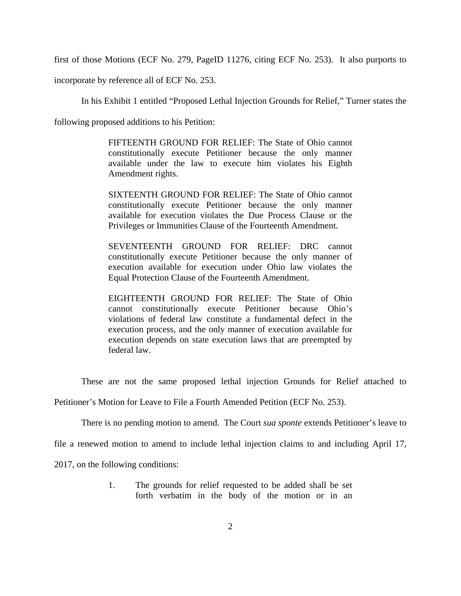first of those Motions (ECF No. 279, PageID 11276, citing ECF No. 253). It also purports to

incorporate by reference all of ECF No. 253.

In his Exhibit 1 entitled "Proposed Lethal Injection Grounds for Relief," Turner states the

following proposed additions to his Petition:

FIFTEENTH GROUND FOR RELIEF: The State of Ohio cannot constitutionally execute Petitioner because the only manner available under the law to execute him violates his Eighth Amendment rights.

SIXTEENTH GROUND FOR RELIEF: The State of Ohio cannot constitutionally execute Petitioner because the only manner available for execution violates the Due Process Clause or the Privileges or Immunities Clause of the Fourteenth Amendment.

SEVENTEENTH GROUND FOR RELIEF: DRC cannot constitutionally execute Petitioner because the only manner of execution available for execution under Ohio law violates the Equal Protection Clause of the Fourteenth Amendment.

EIGHTEENTH GROUND FOR RELIEF: The State of Ohio cannot constitutionally execute Petitioner because Ohio's violations of federal law constitute a fundamental defect in the execution process, and the only manner of execution available for execution depends on state execution laws that are preempted by federal law.

These are not the same proposed lethal injection Grounds for Relief attached to

Petitioner's Motion for Leave to File a Fourth Amended Petition (ECF No. 253).

There is no pending motion to amend. The Court *sua sponte* extends Petitioner's leave to

file a renewed motion to amend to include lethal injection claims to and including April 17,

2017, on the following conditions:

1. The grounds for relief requested to be added shall be set forth verbatim in the body of the motion or in an